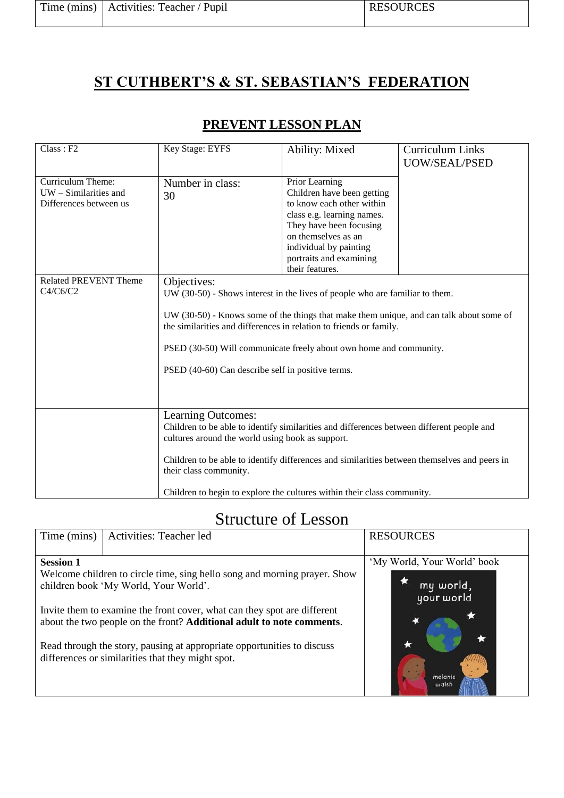|  | Time (mins)   Activities: Teacher / Pupil |  |
|--|-------------------------------------------|--|
|--|-------------------------------------------|--|

## **ST CUTHBERT'S & ST. SEBASTIAN'S FEDERATION**

| Class : F2                                                                                           | Key Stage: EYFS                                                                                                                                                                                                                                                                                                                                                                         | Ability: Mixed                                                                                                                                                                                                                    | Curriculum Links<br>UOW/SEAL/PSED |
|------------------------------------------------------------------------------------------------------|-----------------------------------------------------------------------------------------------------------------------------------------------------------------------------------------------------------------------------------------------------------------------------------------------------------------------------------------------------------------------------------------|-----------------------------------------------------------------------------------------------------------------------------------------------------------------------------------------------------------------------------------|-----------------------------------|
| Curriculum Theme:<br>UW - Similarities and<br>Differences between us<br><b>Related PREVENT Theme</b> | Number in class:<br>30                                                                                                                                                                                                                                                                                                                                                                  | Prior Learning<br>Children have been getting<br>to know each other within<br>class e.g. learning names.<br>They have been focusing<br>on themselves as an<br>individual by painting<br>portraits and examining<br>their features. |                                   |
| C4/C6/C2                                                                                             | Objectives:<br>UW (30-50) - Shows interest in the lives of people who are familiar to them.<br>UW (30-50) - Knows some of the things that make them unique, and can talk about some of<br>the similarities and differences in relation to friends or family.<br>PSED (30-50) Will communicate freely about own home and community.<br>PSED (40-60) Can describe self in positive terms. |                                                                                                                                                                                                                                   |                                   |
|                                                                                                      | Learning Outcomes:<br>Children to be able to identify similarities and differences between different people and<br>cultures around the world using book as support.<br>Children to be able to identify differences and similarities between themselves and peers in<br>their class community.<br>Children to begin to explore the cultures within their class community.                |                                                                                                                                                                                                                                   |                                   |

## Structure of Lesson

| Time (mins)                                                           | Activities: Teacher led                                                   | <b>RESOURCES</b>            |
|-----------------------------------------------------------------------|---------------------------------------------------------------------------|-----------------------------|
|                                                                       |                                                                           |                             |
| <b>Session 1</b>                                                      |                                                                           | 'My World, Your World' book |
|                                                                       | Welcome children to circle time, sing hello song and morning prayer. Show |                             |
| children book 'My World, Your World'.                                 |                                                                           | my world,                   |
|                                                                       |                                                                           | your world                  |
|                                                                       | Invite them to examine the front cover, what can they spot are different  |                             |
| about the two people on the front? Additional adult to note comments. |                                                                           |                             |
|                                                                       |                                                                           |                             |
|                                                                       |                                                                           |                             |
|                                                                       | Read through the story, pausing at appropriate opportunities to discuss   |                             |
|                                                                       | differences or similarities that they might spot.                         |                             |
|                                                                       |                                                                           | melanie                     |
|                                                                       |                                                                           | walsh                       |
|                                                                       |                                                                           |                             |